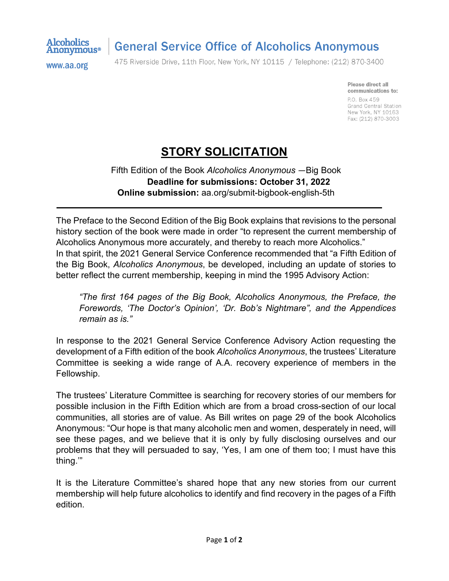

## **General Service Office of Alcoholics Anonymous**

www.aa.org

475 Riverside Drive, 11th Floor, New York, NY 10115 / Telephone: (212) 870-3400

Please direct all communications to: P.O. Box 459 Grand Central Station New York, NY 10163 Fax: (212) 870-3003

## **STORY SOLICITATION**

Fifth Edition of the Book *Alcoholics Anonymous* ―Big Book **Deadline for submissions: October 31, 2022 Online submission:** aa.org/submit-bigbook-english-5th

The Preface to the Second Edition of the Big Book explains that revisions to the personal history section of the book were made in order "to represent the current membership of Alcoholics Anonymous more accurately, and thereby to reach more Alcoholics." In that spirit, the 2021 General Service Conference recommended that "a Fifth Edition of the Big Book, *Alcoholics Anonymous*, be developed, including an update of stories to better reflect the current membership, keeping in mind the 1995 Advisory Action:

*"The first 164 pages of the Big Book, Alcoholics Anonymous, the Preface, the Forewords, 'The Doctor's Opinion', 'Dr. Bob's Nightmare", and the Appendices remain as is."*

In response to the 2021 General Service Conference Advisory Action requesting the development of a Fifth edition of the book *Alcoholics Anonymous*, the trustees' Literature Committee is seeking a wide range of A.A. recovery experience of members in the Fellowship.

The trustees' Literature Committee is searching for recovery stories of our members for possible inclusion in the Fifth Edition which are from a broad cross-section of our local communities, all stories are of value. As Bill writes on page 29 of the book Alcoholics Anonymous: "Our hope is that many alcoholic men and women, desperately in need, will see these pages, and we believe that it is only by fully disclosing ourselves and our problems that they will persuaded to say, 'Yes, I am one of them too; I must have this thing.'"

It is the Literature Committee's shared hope that any new stories from our current membership will help future alcoholics to identify and find recovery in the pages of a Fifth edition.